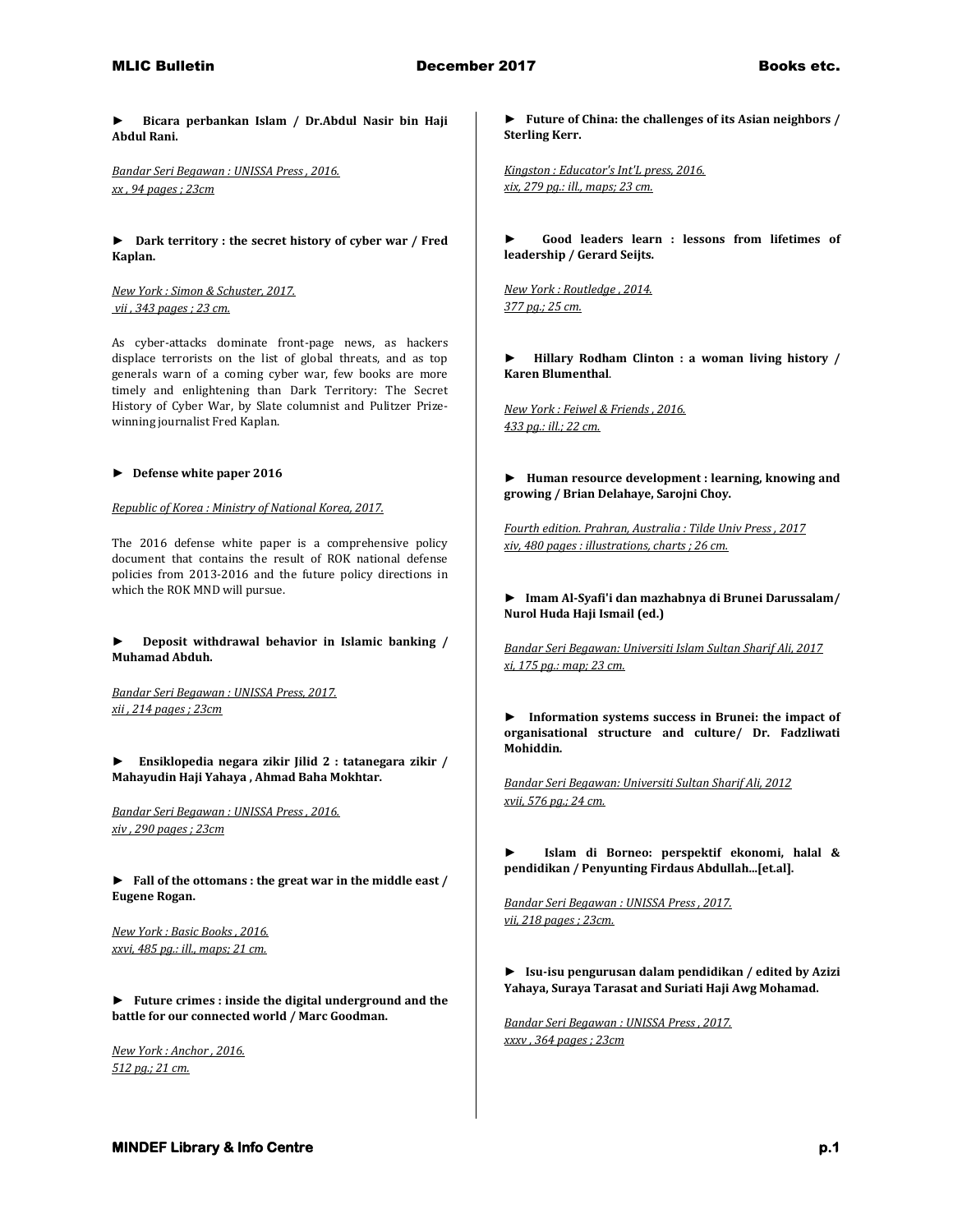**► Bicara perbankan Islam / Dr.Abdul Nasir bin Haji Abdul Rani.**

*Bandar Seri Begawan : UNISSA Press , 2016. xx , 94 pages ; 23cm* 

**► Dark territory : the secret history of cyber war / Fred Kaplan.**

*New York : Simon & Schuster, 2017. vii , 343 pages ; 23 cm.*

As cyber-attacks dominate front-page news, as hackers displace terrorists on the list of global threats, and as top generals warn of a coming cyber war, few books are more timely and enlightening than Dark Territory: The Secret History of Cyber War, by Slate columnist and Pulitzer Prizewinning journalist Fred Kaplan.

#### **► Defense white paper 2016**

*Republic of Korea : Ministry of National Korea, 2017.*

The 2016 defense white paper is a comprehensive policy document that contains the result of ROK national defense policies from 2013-2016 and the future policy directions in which the ROK MND will pursue.

**► Deposit withdrawal behavior in Islamic banking / Muhamad Abduh.**

*Bandar Seri Begawan : UNISSA Press, 2017. xii , 214 pages ; 23cm* 

**► Ensiklopedia negara zikir Jilid 2 : tatanegara zikir / Mahayudin Haji Yahaya , Ahmad Baha Mokhtar.**

*Bandar Seri Begawan : UNISSA Press , 2016. xiv , 290 pages ; 23cm* 

**► Fall of the ottomans : the great war in the middle east / Eugene Rogan.**

*New York : Basic Books , 2016. xxvi, 485 pg.: ill., maps; 21 cm.* 

**► Future crimes : inside the digital underground and the battle for our connected world / Marc Goodman.**

*New York : Anchor , 2016. 512 pg.; 21 cm.* 

**► Future of China: the challenges of its Asian neighbors / Sterling Kerr.**

*Kingston : Educator's Int'L press, 2016. xix, 279 pg.: ill., maps; 23 cm.* 

**► Good leaders learn : lessons from lifetimes of leadership / Gerard Seijts.**

*New York : Routledge , 2014. 377 pg.; 25 cm.* 

**► Hillary Rodham Clinton : a woman living history / Karen Blumenthal**.

*New York : Feiwel & Friends , 2016. 433 pg.: ill.; 22 cm.* 

**► Human resource development : learning, knowing and growing / Brian Delahaye, Sarojni Choy.**

*Fourth edition. Prahran, Australia : Tilde Univ Press , 2017 xiv, 480 pages : illustrations, charts ; 26 cm.* 

**► Imam Al-Syafi'i dan mazhabnya di Brunei Darussalam/ Nurol Huda Haji Ismail (ed.)**

*Bandar Seri Begawan: Universiti Islam Sultan Sharif Ali, 2017 xi, 175 pg.: map; 23 cm.* 

**► Information systems success in Brunei: the impact of organisational structure and culture/ Dr. Fadzliwati Mohiddin.**

*Bandar Seri Begawan: Universiti Sultan Sharif Ali, 2012 xvii, 576 pg.; 24 cm.* 

**► Islam di Borneo: perspektif ekonomi, halal & pendidikan / Penyunting Firdaus Abdullah...[et.al].**

*Bandar Seri Begawan : UNISSA Press , 2017. vii, 218 pages ; 23cm.* 

**► Isu-isu pengurusan dalam pendidikan / edited by Azizi Yahaya, Suraya Tarasat and Suriati Haji Awg Mohamad.**

*Bandar Seri Begawan : UNISSA Press , 2017. xxxv , 364 pages ; 23cm*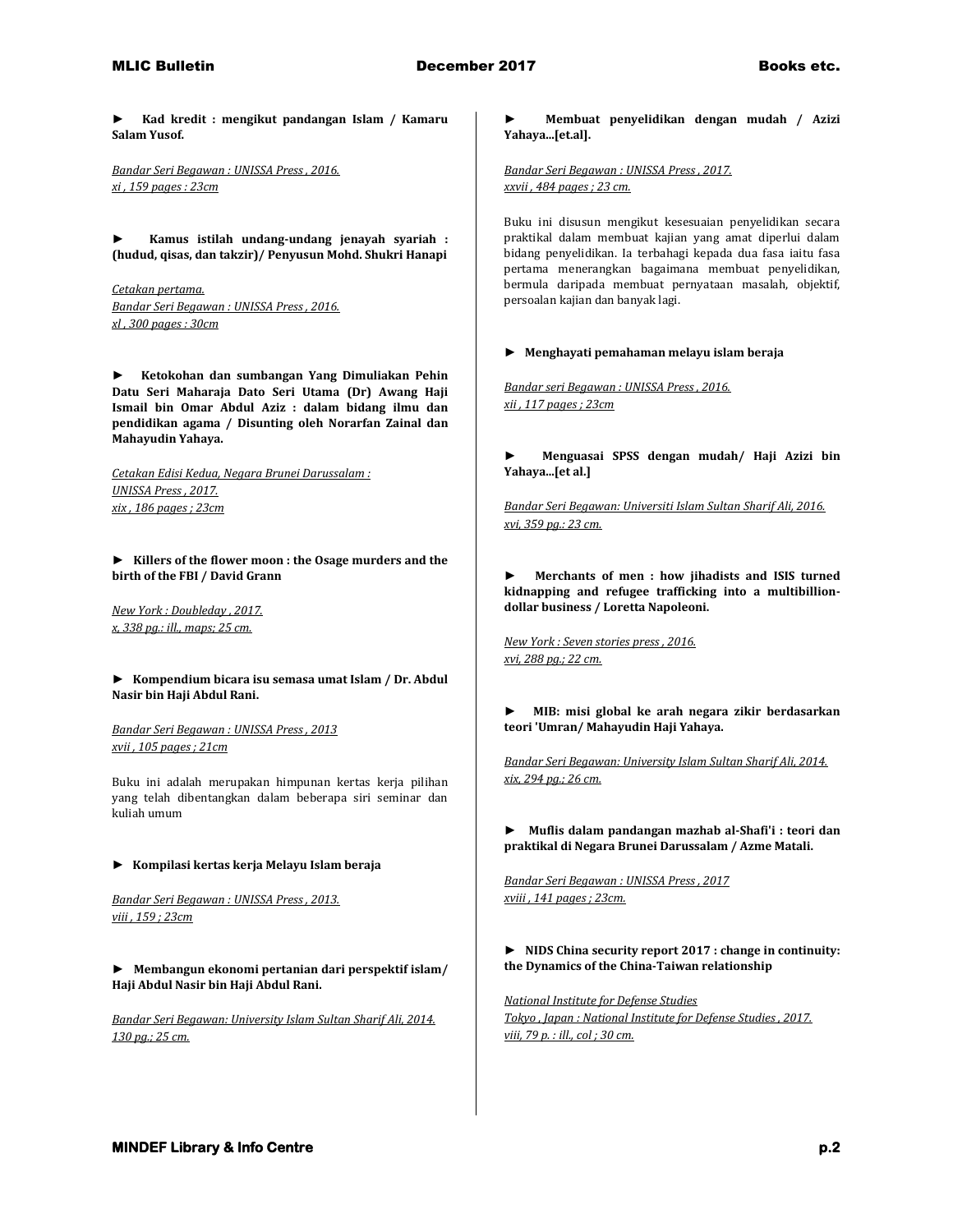**► Kad kredit : mengikut pandangan Islam / Kamaru Salam Yusof.**

*Bandar Seri Begawan : UNISSA Press , 2016. xi , 159 pages : 23cm* 

**► Kamus istilah undang-undang jenayah syariah : (hudud, qisas, dan takzir)/ Penyusun Mohd. Shukri Hanapi**

*Cetakan pertama. Bandar Seri Begawan : UNISSA Press , 2016. xl , 300 pages : 30cm* 

**► Ketokohan dan sumbangan Yang Dimuliakan Pehin Datu Seri Maharaja Dato Seri Utama (Dr) Awang Haji Ismail bin Omar Abdul Aziz : dalam bidang ilmu dan pendidikan agama / Disunting oleh Norarfan Zainal dan Mahayudin Yahaya.**

*Cetakan Edisi Kedua, Negara Brunei Darussalam : UNISSA Press , 2017. xix , 186 pages ; 23cm* 

**► Killers of the flower moon : the Osage murders and the birth of the FBI / David Grann**

*New York : Doubleday , 2017. x, 338 pg.: ill., maps; 25 cm.* 

**► Kompendium bicara isu semasa umat Islam / Dr. Abdul Nasir bin Haji Abdul Rani.**

*Bandar Seri Begawan : UNISSA Press , 2013 xvii , 105 pages ; 21cm*

Buku ini adalah merupakan himpunan kertas kerja pilihan yang telah dibentangkan dalam beberapa siri seminar dan kuliah umum

### **► Kompilasi kertas kerja Melayu Islam beraja**

*Bandar Seri Begawan : UNISSA Press , 2013. viii , 159 ; 23cm* 

**► Membangun ekonomi pertanian dari perspektif islam/ Haji Abdul Nasir bin Haji Abdul Rani.**

*Bandar Seri Begawan: University Islam Sultan Sharif Ali, 2014. 130 pg.; 25 cm.* 

**► Membuat penyelidikan dengan mudah / Azizi Yahaya...[et.al].**

*Bandar Seri Begawan : UNISSA Press , 2017. xxvii , 484 pages ; 23 cm.*

Buku ini disusun mengikut kesesuaian penyelidikan secara praktikal dalam membuat kajian yang amat diperlui dalam bidang penyelidikan. Ia terbahagi kepada dua fasa iaitu fasa pertama menerangkan bagaimana membuat penyelidikan, bermula daripada membuat pernyataan masalah, objektif, persoalan kajian dan banyak lagi.

#### **► Menghayati pemahaman melayu islam beraja**

*Bandar seri Begawan : UNISSA Press , 2016. xii , 117 pages ; 23cm* 

**► Menguasai SPSS dengan mudah/ Haji Azizi bin Yahaya...[et al.]**

*Bandar Seri Begawan: Universiti Islam Sultan Sharif Ali, 2016. xvi, 359 pg.: 23 cm.* 

**► Merchants of men : how jihadists and ISIS turned kidnapping and refugee trafficking into a multibilliondollar business / Loretta Napoleoni.**

*New York : Seven stories press , 2016. xvi, 288 pg.; 22 cm.* 

**► MIB: misi global ke arah negara zikir berdasarkan teori 'Umran/ Mahayudin Haji Yahaya.**

*Bandar Seri Begawan: University Islam Sultan Sharif Ali, 2014. xix, 294 pg.; 26 cm.* 

**► Muflis dalam pandangan mazhab al-Shafi'i : teori dan praktikal di Negara Brunei Darussalam / Azme Matali.**

*Bandar Seri Begawan : UNISSA Press , 2017 xviii , 141 pages ; 23cm.* 

**► NIDS China security report 2017 : change in continuity: the Dynamics of the China-Taiwan relationship**

*National Institute for Defense Studies Tokyo , Japan : National Institute for Defense Studies , 2017. viii, 79 p. : ill., col ; 30 cm.*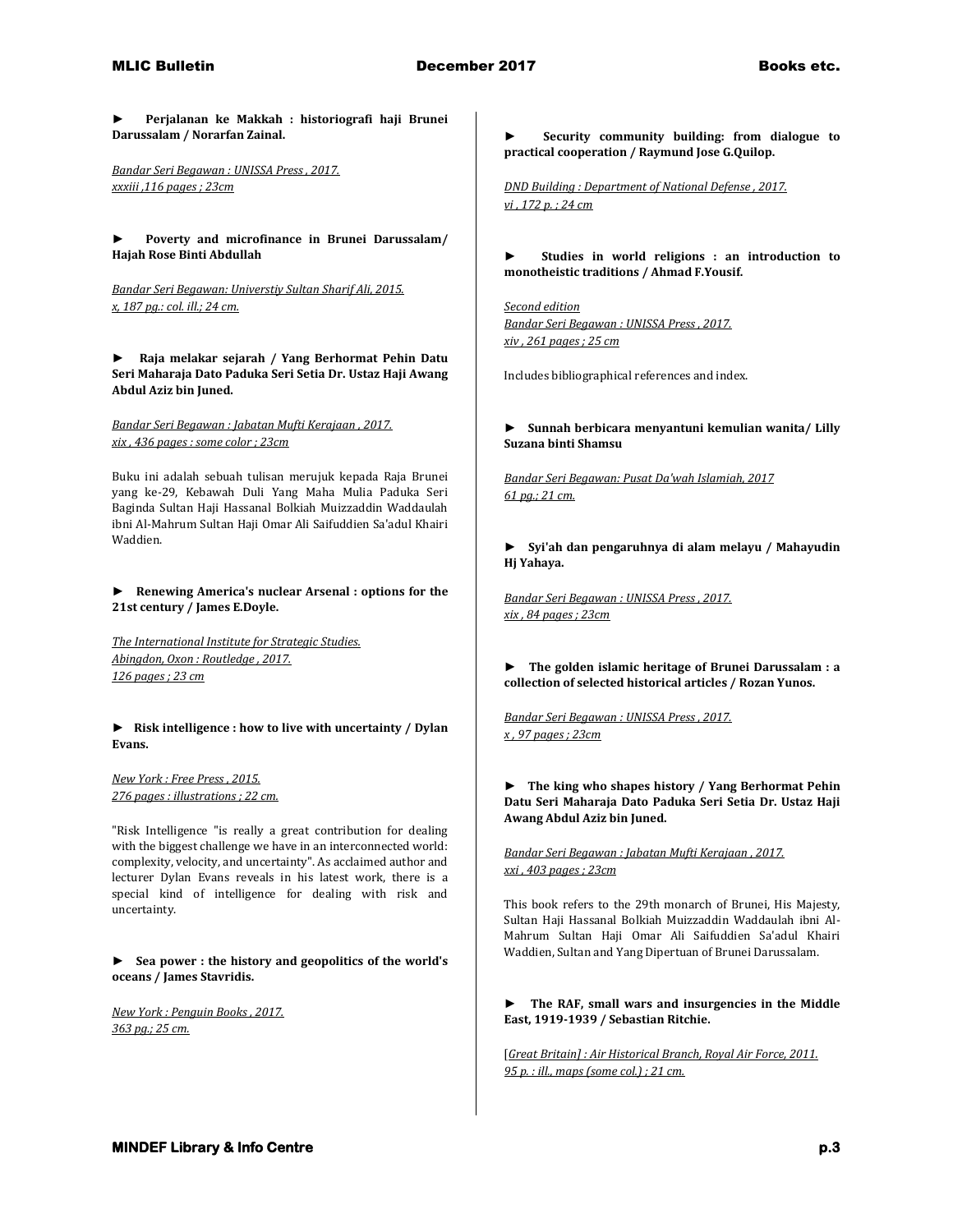**► Perjalanan ke Makkah : historiografi haji Brunei Darussalam / Norarfan Zainal.**

*Bandar Seri Begawan : UNISSA Press , 2017. xxxiii ,116 pages ; 23cm* 

**► Poverty and microfinance in Brunei Darussalam/ Hajah Rose Binti Abdullah**

*Bandar Seri Begawan: Universtiy Sultan Sharif Ali, 2015. x, 187 pg.: col. ill.; 24 cm.* 

**► Raja melakar sejarah / Yang Berhormat Pehin Datu Seri Maharaja Dato Paduka Seri Setia Dr. Ustaz Haji Awang Abdul Aziz bin Juned.**

*Bandar Seri Begawan : Jabatan Mufti Kerajaan , 2017. xix , 436 pages : some color ; 23cm*

Buku ini adalah sebuah tulisan merujuk kepada Raja Brunei yang ke-29, Kebawah Duli Yang Maha Mulia Paduka Seri Baginda Sultan Haji Hassanal Bolkiah Muizzaddin Waddaulah ibni Al-Mahrum Sultan Haji Omar Ali Saifuddien Sa'adul Khairi Waddien.

**► Renewing America's nuclear Arsenal : options for the 21st century / James E.Doyle.**

*The International Institute for Strategic Studies. Abingdon, Oxon : Routledge , 2017. 126 pages ; 23 cm* 

**► Risk intelligence : how to live with uncertainty / Dylan Evans.**

*New York : Free Press , 2015. 276 pages : illustrations ; 22 cm.*

"Risk Intelligence "is really a great contribution for dealing with the biggest challenge we have in an interconnected world: complexity, velocity, and uncertainty". As acclaimed author and lecturer Dylan Evans reveals in his latest work, there is a special kind of intelligence for dealing with risk and uncertainty.

**► Sea power : the history and geopolitics of the world's oceans / James Stavridis.**

*New York : Penguin Books , 2017. 363 pg.; 25 cm.* 

**► Security community building: from dialogue to practical cooperation / Raymund Jose G.Quilop.**

*DND Building : Department of National Defense , 2017. vi , 172 p. ; 24 cm* 

**► Studies in world religions : an introduction to monotheistic traditions / Ahmad F.Yousif.**

*Second edition Bandar Seri Begawan : UNISSA Press , 2017. xiv , 261 pages ; 25 cm*

Includes bibliographical references and index.

**► Sunnah berbicara menyantuni kemulian wanita/ Lilly Suzana binti Shamsu**

*Bandar Seri Begawan: Pusat Da'wah Islamiah, 2017 61 pg.; 21 cm.* 

**► Syi'ah dan pengaruhnya di alam melayu / Mahayudin Hj Yahaya.**

*Bandar Seri Begawan : UNISSA Press , 2017. xix , 84 pages ; 23cm* 

**► The golden islamic heritage of Brunei Darussalam : a collection of selected historical articles / Rozan Yunos.**

*Bandar Seri Begawan : UNISSA Press , 2017. x , 97 pages ; 23cm* 

**► The king who shapes history / Yang Berhormat Pehin Datu Seri Maharaja Dato Paduka Seri Setia Dr. Ustaz Haji Awang Abdul Aziz bin Juned.**

*Bandar Seri Begawan : Jabatan Mufti Kerajaan , 2017. xxi , 403 pages ; 23cm*

This book refers to the 29th monarch of Brunei, His Majesty, Sultan Haji Hassanal Bolkiah Muizzaddin Waddaulah ibni Al-Mahrum Sultan Haji Omar Ali Saifuddien Sa'adul Khairi Waddien, Sultan and Yang Dipertuan of Brunei Darussalam.

**► The RAF, small wars and insurgencies in the Middle East, 1919-1939 / Sebastian Ritchie.**

[*Great Britain] : Air Historical Branch, Royal Air Force, 2011. 95 p. : ill., maps (some col.) ; 21 cm.*